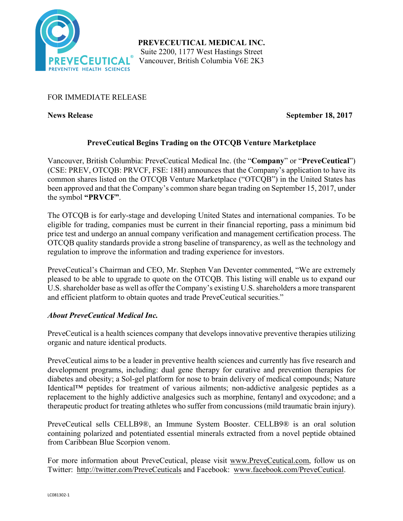

## FOR IMMEDIATE RELEASE

**News Release September 18, 2017**

# **PreveCeutical Begins Trading on the OTCQB Venture Marketplace**

Vancouver, British Columbia: PreveCeutical Medical Inc. (the "**Company**" or "**PreveCeutical**") (CSE: PREV, OTCQB: PRVCF, FSE: 18H) announces that the Company's application to have its common shares listed on the OTCQB Venture Marketplace ("OTCQB") in the United States has been approved and that the Company's common share began trading on September 15, 2017, under the symbol **"PRVCF"**.

The OTCQB is for early-stage and developing United States and international companies. To be eligible for trading, companies must be current in their financial reporting, pass a minimum bid price test and undergo an annual company verification and management certification process. The OTCQB quality standards provide a strong baseline of transparency, as well as the technology and regulation to improve the information and trading experience for investors.

PreveCeutical's Chairman and CEO, Mr. Stephen Van Deventer commented, "We are extremely pleased to be able to upgrade to quote on the OTCQB. This listing will enable us to expand our U.S. shareholder base as well as offer the Company's existing U.S. shareholders a more transparent and efficient platform to obtain quotes and trade PreveCeutical securities."

## *About PreveCeutical Medical Inc.*

PreveCeutical is a health sciences company that develops innovative preventive therapies utilizing organic and nature identical products.

PreveCeutical aims to be a leader in preventive health sciences and currently has five research and development programs, including: dual gene therapy for curative and prevention therapies for diabetes and obesity; a Sol-gel platform for nose to brain delivery of medical compounds; Nature Identical™ peptides for treatment of various ailments; non-addictive analgesic peptides as a replacement to the highly addictive analgesics such as morphine, fentanyl and oxycodone; and a therapeutic product for treating athletes who suffer from concussions (mild traumatic brain injury).

PreveCeutical sells CELLB9®, an Immune System Booster. CELLB9® is an oral solution containing polarized and potentiated essential minerals extracted from a novel peptide obtained from Caribbean Blue Scorpion venom.

For more information about PreveCeutical, please visit www.PreveCeutical.com, follow us on Twitter: http://twitter.com/PreveCeuticals and Facebook: www.facebook.com/PreveCeutical.